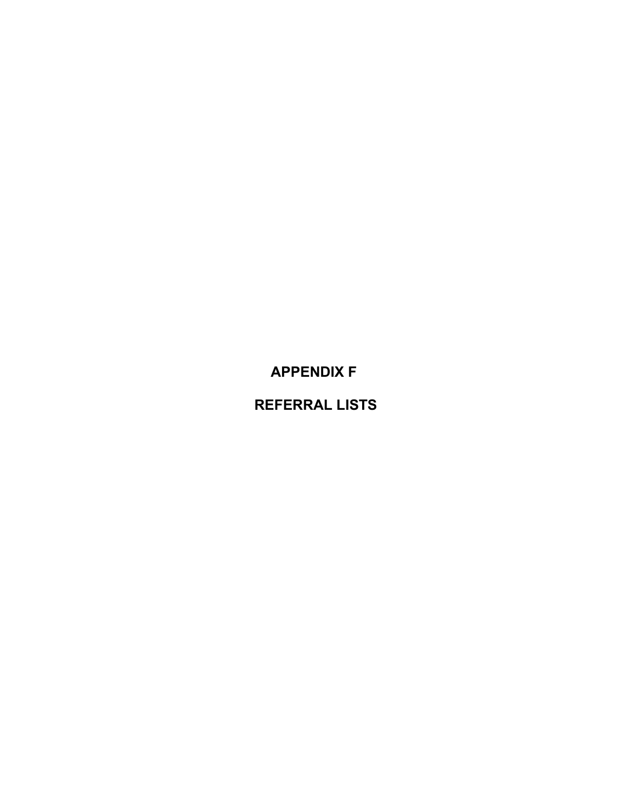**APPENDIX F**

**REFERRAL LISTS**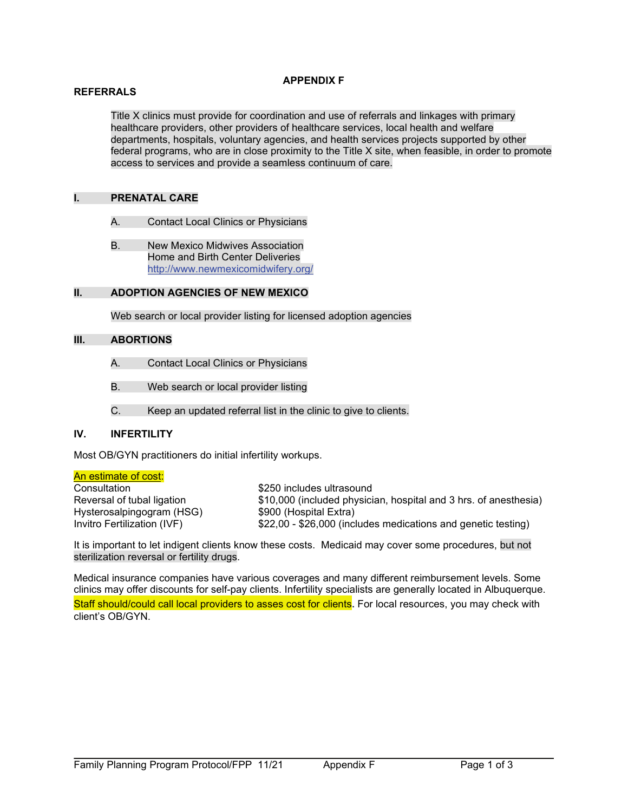#### **APPENDIX F**

#### **REFERRALS**

Title X clinics must provide for coordination and use of referrals and linkages with primary healthcare providers, other providers of healthcare services, local health and welfare departments, hospitals, voluntary agencies, and health services projects supported by other federal programs, who are in close proximity to the Title X site, when feasible, in order to promote access to services and provide a seamless continuum of care.

## **I. PRENATAL CARE**

- A. Contact Local Clinics or Physicians
- B. New Mexico Midwives Association Home and Birth Center Deliveries <http://www.newmexicomidwifery.org/>

## **II. ADOPTION AGENCIES OF NEW MEXICO**

Web search or local provider listing for licensed adoption agencies

## **III. ABORTIONS**

- A. Contact Local Clinics or Physicians
- B. Web search or local provider listing
- C. Keep an updated referral list in the clinic to give to clients.

## **IV. INFERTILITY**

Most OB/GYN practitioners do initial infertility workups.

# An estimate of cost:

Consultation  $$250$  includes ultrasound Hysterosalpingogram (HSG)<br>Invitro Fertilization (IVF)

Reversal of tubal ligation \$10,000 (included physician, hospital and 3 hrs. of anesthesia)<br>Hysterosalpingogram (HSG) \$900 (Hospital Extra) \$22,00 - \$26,000 (includes medications and genetic testing)

It is important to let indigent clients know these costs. Medicaid may cover some procedures, but not sterilization reversal or fertility drugs.

Medical insurance companies have various coverages and many different reimbursement levels. Some clinics may offer discounts for self-pay clients. Infertility specialists are generally located in Albuquerque. Staff should/could call local providers to asses cost for clients. For local resources, you may check with client's OB/GYN.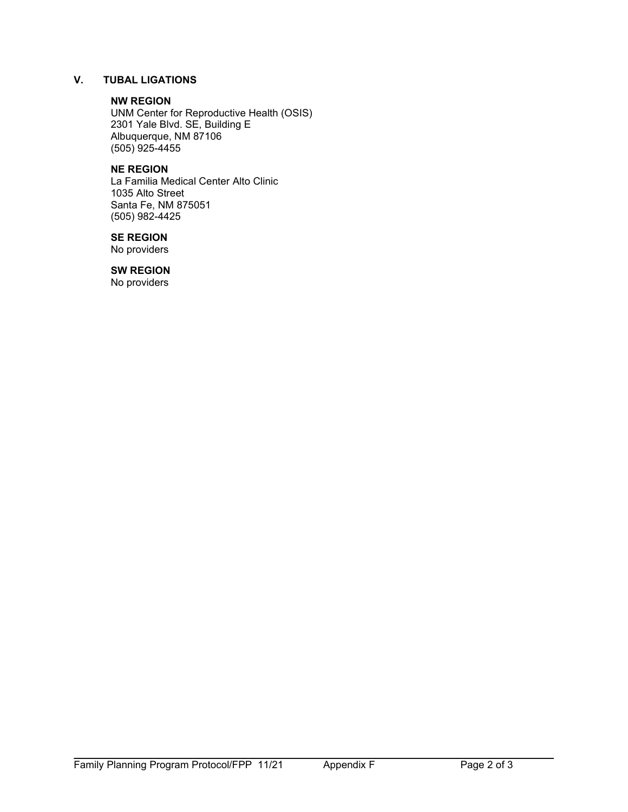# **V. TUBAL LIGATIONS**

#### **NW REGION**

UNM Center for Reproductive Health (OSIS) 2301 Yale Blvd. SE, Building E Albuquerque, NM 87106  $(505)$ 925-4455

# **NE REGION**

La Familia Medical Center Alto Clinic 1035 Alto Street Santa Fe, NM 875051 (505) 982-4425

# **SE REGION**

No providers

# **SW REGION**

No providers